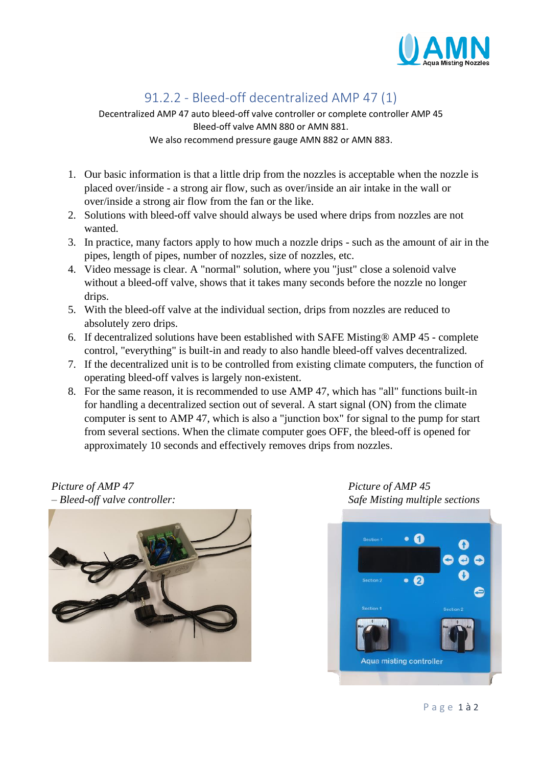

## 91.2.2 - Bleed-off decentralized AMP 47 (1)

Decentralized AMP 47 auto bleed-off valve controller or complete controller AMP 45 Bleed-off valve AMN 880 or AMN 881. We also recommend pressure gauge AMN 882 or AMN 883.

- 1. Our basic information is that a little drip from the nozzles is acceptable when the nozzle is placed over/inside - a strong air flow, such as over/inside an air intake in the wall or over/inside a strong air flow from the fan or the like.
- 2. Solutions with bleed-off valve should always be used where drips from nozzles are not wanted.
- 3. In practice, many factors apply to how much a nozzle drips such as the amount of air in the pipes, length of pipes, number of nozzles, size of nozzles, etc.
- 4. Video message is clear. A "normal" solution, where you "just" close a solenoid valve without a bleed-off valve, shows that it takes many seconds before the nozzle no longer drips.
- 5. With the bleed-off valve at the individual section, drips from nozzles are reduced to absolutely zero drips.
- 6. If decentralized solutions have been established with SAFE Misting® AMP 45 complete control, "everything" is built-in and ready to also handle bleed-off valves decentralized.
- 7. If the decentralized unit is to be controlled from existing climate computers, the function of operating bleed-off valves is largely non-existent.
- 8. For the same reason, it is recommended to use AMP 47, which has "all" functions built-in for handling a decentralized section out of several. A start signal (ON) from the climate computer is sent to AMP 47, which is also a "junction box" for signal to the pump for start from several sections. When the climate computer goes OFF, the bleed-off is opened for approximately 10 seconds and effectively removes drips from nozzles.

## *Picture* of *AMP 47* Picture of *AMP 45 – Bleed-off valve controller: Safe Misting multiple sections*





P a g e 1 à 2